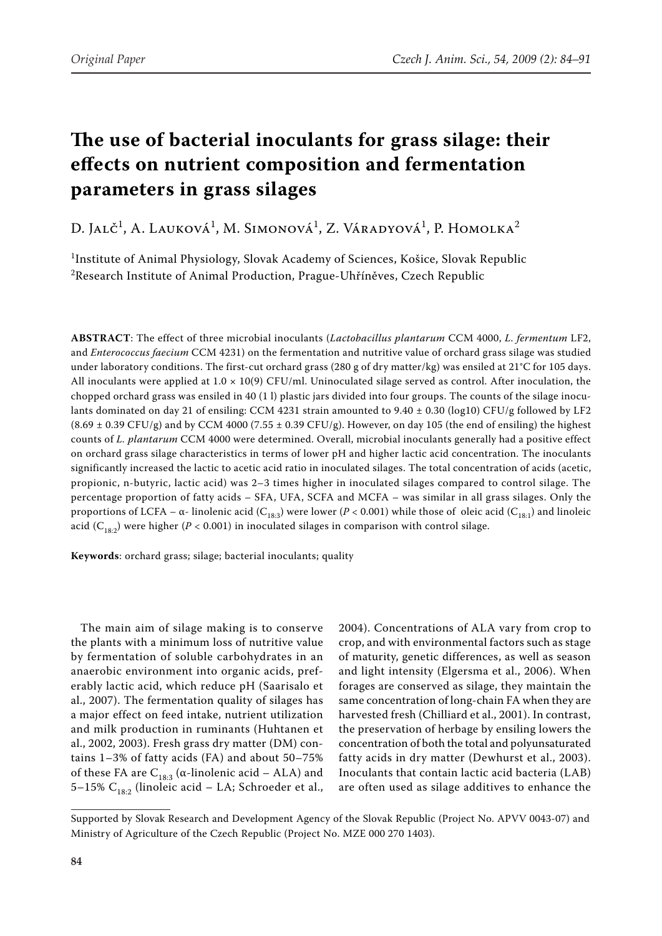# **The use of bacterial inoculants for grass silage: their effects on nutrient composition and fermentation parameters in grass silages**

D. Jalč<sup>1</sup>, A. Lauková<sup>1</sup>, M. Simonová<sup>1</sup>, Z. Váradyová<sup>1</sup>, P. Homolka<sup>2</sup>

 $^{\rm 1}$ Institute of Animal Physiology, Slovak Academy of Sciences, Košice, Slovak Republic  $^{2}$ Research Institute of Animal Production, Prague-Uhříněves, Czech Republic

**ABSTRACT**: The effect of three microbial inoculants (*Lactobacillus plantarum* CCM 4000, *L. fermentum* LF2, and *Enterococcus faecium* CCM 4231) on the fermentation and nutritive value of orchard grass silage was studied under laboratory conditions. The first-cut orchard grass (280 g of dry matter/kg) was ensiled at 21°C for 105 days. All inoculants were applied at  $1.0 \times 10(9)$  CFU/ml. Uninoculated silage served as control. After inoculation, the chopped orchard grass was ensiled in 40 (1 l) plastic jars divided into four groups. The counts of the silage inoculants dominated on day 21 of ensiling: CCM 4231 strain amounted to 9.40  $\pm$  0.30 (log10) CFU/g followed by LF2  $(8.69 \pm 0.39 \text{ CFU/g})$  and by CCM 4000 (7.55  $\pm$  0.39 CFU/g). However, on day 105 (the end of ensiling) the highest counts of *L. plantarum* CCM 4000 were determined. Overall, microbial inoculants generally had a positive effect on orchard grass silage characteristics in terms of lower pH and higher lactic acid concentration. The inoculants significantly increased the lactic to acetic acid ratio in inoculated silages. The total concentration of acids (acetic, propionic, n-butyric, lactic acid) was 2–3 times higher in inoculated silages compared to control silage. The percentage proportion of fatty acids – SFA, UFA, SCFA and MCFA – was similar in all grass silages. Only the proportions of LCFA – α- linolenic acid (C<sub>18:3</sub>) were lower ( $P < 0.001$ ) while those of oleic acid (C<sub>18:1</sub>) and linoleic acid ( $C_{18:2}$ ) were higher ( $P < 0.001$ ) in inoculated silages in comparison with control silage.

**Keywords**: orchard grass; silage; bacterial inoculants; quality

The main aim of silage making is to conserve the plants with a minimum loss of nutritive value by fermentation of soluble carbohydrates in an anaerobic environment into organic acids, preferably lactic acid, which reduce pH (Saarisalo et al., 2007). The fermentation quality of silages has a major effect on feed intake, nutrient utilization and milk production in ruminants (Huhtanen et al., 2002, 2003). Fresh grass dry matter (DM) contains 1–3% of fatty acids (FA) and about 50–75% of these FA are  $C_{18:3}$  (α-linolenic acid – ALA) and 5–15%  $C_{18:2}$  (linoleic acid – LA; Schroeder et al.,

2004). Concentrations of ALA vary from crop to crop, and with environmental factors such as stage of maturity, genetic differences, as well as season and light intensity (Elgersma et al., 2006). When forages are conserved as silage, they maintain the same concentration of long-chain FA when they are harvested fresh (Chilliard et al., 2001). In contrast, the preservation of herbage by ensiling lowers the concentration of both the total and polyunsaturated fatty acids in dry matter (Dewhurst et al., 2003). Inoculants that contain lactic acid bacteria (LAB) are often used as silage additives to enhance the

Supported by Slovak Research and Development Agency of the Slovak Republic (Project No. APVV 0043-07) and Ministry of Agriculture of the Czech Republic (Project No. MZe 000 270 1403).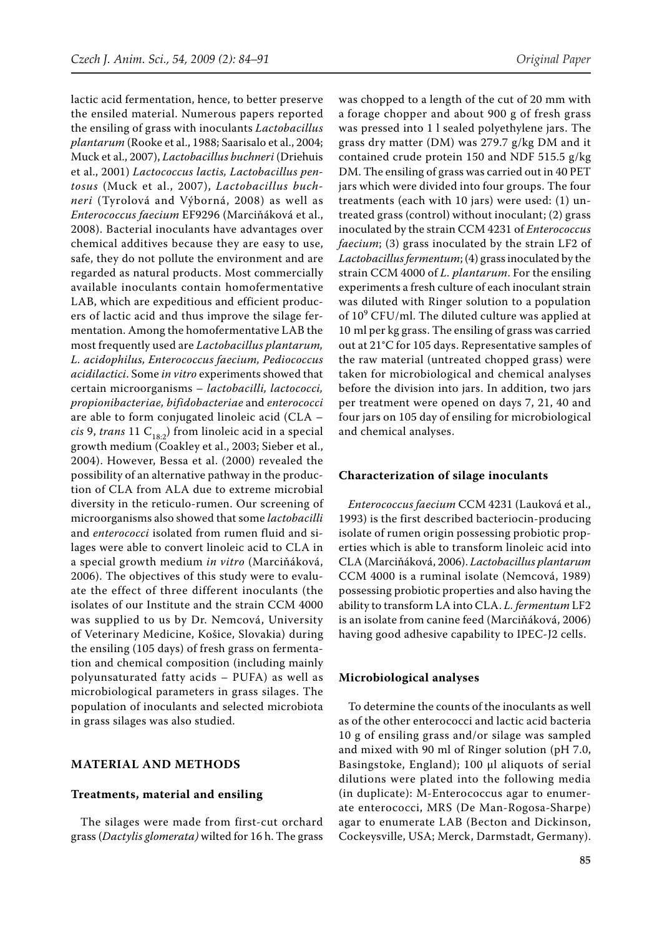lactic acid fermentation, hence, to better preserve the ensiled material. Numerous papers reported the ensiling of grass with inoculants *Lactobacillus plantarum* (Rooke et al., 1988; Saarisalo et al., 2004; Muck et al., 2007), *Lactobacillus buchneri* (Driehuis et al., 2001) *Lactococcus lactis, Lactobacillus pentosus* (Muck et al., 2007), *Lactobacillus buchneri* (Tyrolová and Výborná, 2008) as well as *Enterococcus faecium* EF9296 (Marciňáková et al., 2008). Bacterial inoculants have advantages over chemical additives because they are easy to use, safe, they do not pollute the environment and are regarded as natural products. Most commercially available inoculants contain homofermentative LAB, which are expeditious and efficient producers of lactic acid and thus improve the silage fermentation. Among the homofermentative LAB the most frequently used are *Lactobacillus plantarum, L. acidophilus, Enterococcus faecium, Pediococcus acidilactici*. Some *in vitro* experiments showed that certain microorganisms – *lactobacilli, lactococci, propionibacteriae, bifidobacteriae* and *enterococci* are able to form conjugated linoleic acid (CLA – *cis* 9, *trans* 11  $C_{18:2}$  from linoleic acid in a special growth medium (Coakley et al., 2003; Sieber et al., 2004). However, Bessa et al. (2000) revealed the possibility of an alternative pathway in the production of CLA from ALA due to extreme microbial diversity in the reticulo-rumen. Our screening of microorganisms also showed that some *lactobacilli*  and *enterococci* isolated from rumen fluid and silages were able to convert linoleic acid to CLA in a special growth medium *in vitro* (Marciňáková, 2006). The objectives of this study were to evaluate the effect of three different inoculants (the isolates of our Institute and the strain CCM 4000 was supplied to us by Dr. Nemcová, University of Veterinary Medicine, Košice, Slovakia) during the ensiling (105 days) of fresh grass on fermentation and chemical composition (including mainly polyunsaturated fatty acids – PUFA) as well as microbiological parameters in grass silages. The population of inoculants and selected microbiota in grass silages was also studied.

## **MATERIAL AND METHODS**

#### **Treatments, material and ensiling**

The silages were made from first-cut orchard grass (*Dactylis glomerata)* wilted for 16 h. The grass was chopped to a length of the cut of 20 mm with a forage chopper and about 900 g of fresh grass was pressed into 1 l sealed polyethylene jars. The grass dry matter (DM) was 279.7 g/kg DM and it contained crude protein 150 and NDF 515.5 g/kg DM. The ensiling of grass was carried out in 40 PET jars which were divided into four groups. The four treatments (each with 10 jars) were used: (1) untreated grass (control) without inoculant; (2) grass inoculated by the strain CCM 4231 of *Enterococcus faecium*; (3) grass inoculated by the strain LF2 of *Lactobacillus fermentum*; (4) grass inoculated by the strain CCM 4000 of *L. plantarum*. For the ensiling experiments a fresh culture of each inoculant strain was diluted with Ringer solution to a population of  $10^9$  CFU/ml. The diluted culture was applied at 10 ml per kg grass. The ensiling of grass was carried out at 21°C for 105 days. Representative samples of the raw material (untreated chopped grass) were taken for microbiological and chemical analyses before the division into jars. In addition, two jars per treatment were opened on days 7, 21, 40 and four jars on 105 day of ensiling for microbiological and chemical analyses.

#### **Characterization of silage inoculants**

*Enterococcus faecium* CCM 4231 (Lauková et al., 1993) is the first described bacteriocin-producing isolate of rumen origin possessing probiotic properties which is able to transform linoleic acid into CLA (Marciňáková, 2006). *Lactobacillus plantarum* CCM 4000 is a ruminal isolate (Nemcová, 1989) possessing probiotic properties and also having the ability to transform LA into CLA. *L. fermentum* LF2 is an isolate from canine feed (Marciňáková, 2006) having good adhesive capability to IPEC-J2 cells.

#### **Microbiological analyses**

To determine the counts of the inoculants as well as of the other enterococci and lactic acid bacteria 10 g of ensiling grass and/or silage was sampled and mixed with 90 ml of Ringer solution (pH 7.0, Basingstoke, England); 100 µl aliquots of serial dilutions were plated into the following media (in duplicate): M-Enterococcus agar to enumerate enterococci, MRS (De Man-Rogosa-Sharpe) agar to enumerate LAB (Becton and Dickinson, Cockeysville, USA; Merck, Darmstadt, Germany).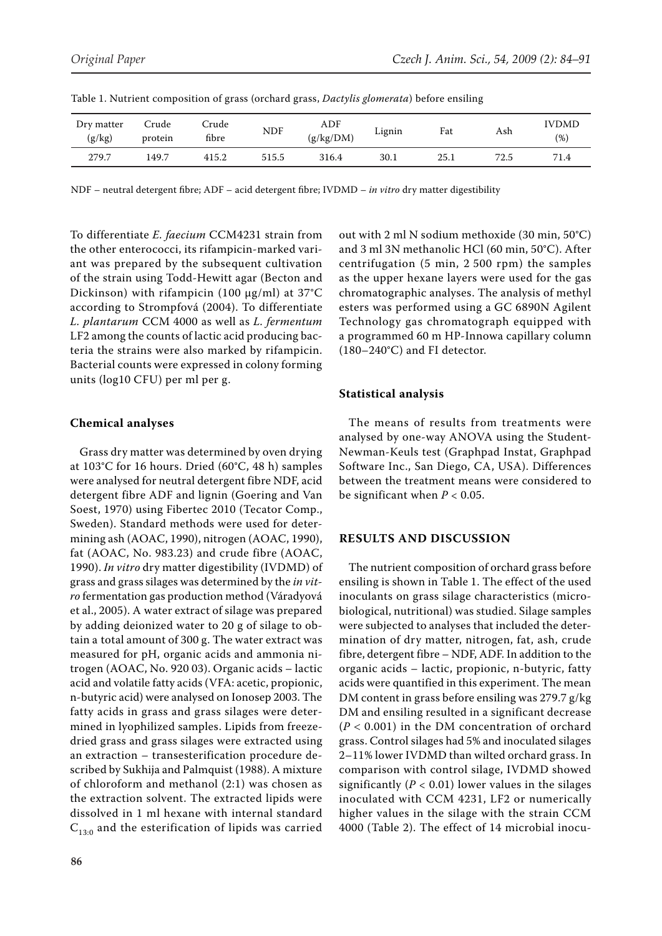| Dry matter<br>(g/kg) | Crude<br>protein | Crude<br>fibre | NDF   | ADF<br>(g/kg/DM) | Lignin | Fat  | Ash  | <b>IVDMD</b><br>(% ) |
|----------------------|------------------|----------------|-------|------------------|--------|------|------|----------------------|
| 279.7                | 149.7            | 415.2          | 515.5 | 316.4            | 30.1   | 25.1 | 72.5 | 71.4                 |

Table 1. Nutrient composition of grass (orchard grass, *Dactylis glomerata*) before ensiling

NDF – neutral detergent fibre; ADF – acid detergent fibre; IVDMD – *in vitro* dry matter digestibility

To differentiate *E. faecium* CCM4231 strain from the other enterococci, its rifampicin-marked variant was prepared by the subsequent cultivation of the strain using Todd-Hewitt agar (Becton and Dickinson) with rifampicin (100  $\mu$ g/ml) at 37°C according to Strompfová (2004). To differentiate *L. plantarum* CCM 4000 as well as *L. fermentum* LF2 among the counts of lactic acid producing bacteria the strains were also marked by rifampicin. Bacterial counts were expressed in colony forming units (log10 CFU) per ml per g.

## **Chemical analyses**

Grass dry matter was determined by oven drying at 103°C for 16 hours. Dried (60°C, 48 h) samples were analysed for neutral detergent fibre NDF, acid detergent fibre ADF and lignin (Goering and Van Soest, 1970) using Fibertec 2010 (Tecator Comp., Sweden). Standard methods were used for determining ash (AOAC, 1990), nitrogen (AOAC, 1990), fat (AOAC, No. 983.23) and crude fibre (AOAC, 1990). *In vitro* dry matter digestibility (IVDMD) of grass and grass silages was determined by the *in vitro* fermentation gas production method (Váradyová et al., 2005). A water extract of silage was prepared by adding deionized water to 20 g of silage to obtain a total amount of 300 g. The water extract was measured for pH, organic acids and ammonia nitrogen (AOAC, No. 920 03). Organic acids – lactic acid and volatile fatty acids (VFA: acetic, propionic, n-butyric acid) were analysed on Ionosep 2003. The fatty acids in grass and grass silages were determined in lyophilized samples. Lipids from freezedried grass and grass silages were extracted using an extraction – transesterification procedure described by Sukhija and Palmquist (1988). A mixture of chloroform and methanol (2:1) was chosen as the extraction solvent. The extracted lipids were dissolved in 1 ml hexane with internal standard  $C_{13:0}$  and the esterification of lipids was carried out with 2 ml N sodium methoxide (30 min, 50°C) and 3 ml 3N methanolic HCl (60 min, 50°C). After centrifugation (5 min, 2 500 rpm) the samples as the upper hexane layers were used for the gas chromatographic analyses. The analysis of methyl esters was performed using a GC 6890N Agilent Technology gas chromatograph equipped with a programmed 60 m HP-Innowa capillary column (180–240°C) and FI detector.

## **Statistical analysis**

The means of results from treatments were analysed by one-way ANOVA using the Student-Newman-Keuls test (Graphpad Instat, Graphpad Software Inc., San Diego, CA, USA). Differences between the treatment means were considered to be significant when *P* < 0.05.

#### **RESULTS AND DISCUSSION**

The nutrient composition of orchard grass before ensiling is shown in Table 1. The effect of the used inoculants on grass silage characteristics (microbiological, nutritional) was studied. Silage samples were subjected to analyses that included the determination of dry matter, nitrogen, fat, ash, crude fibre, detergent fibre – NDF, ADF. In addition to the organic acids – lactic, propionic, n-butyric, fatty acids were quantified in this experiment. The mean DM content in grass before ensiling was 279.7 g/kg DM and ensiling resulted in a significant decrease (*P* < 0.001) in the DM concentration of orchard grass. Control silages had 5% and inoculated silages 2–11% lower IVDMD than wilted orchard grass. In comparison with control silage, IVDMD showed significantly  $(P < 0.01)$  lower values in the silages inoculated with CCM 4231, LF2 or numerically higher values in the silage with the strain CCM 4000 (Table 2). The effect of 14 microbial inocu-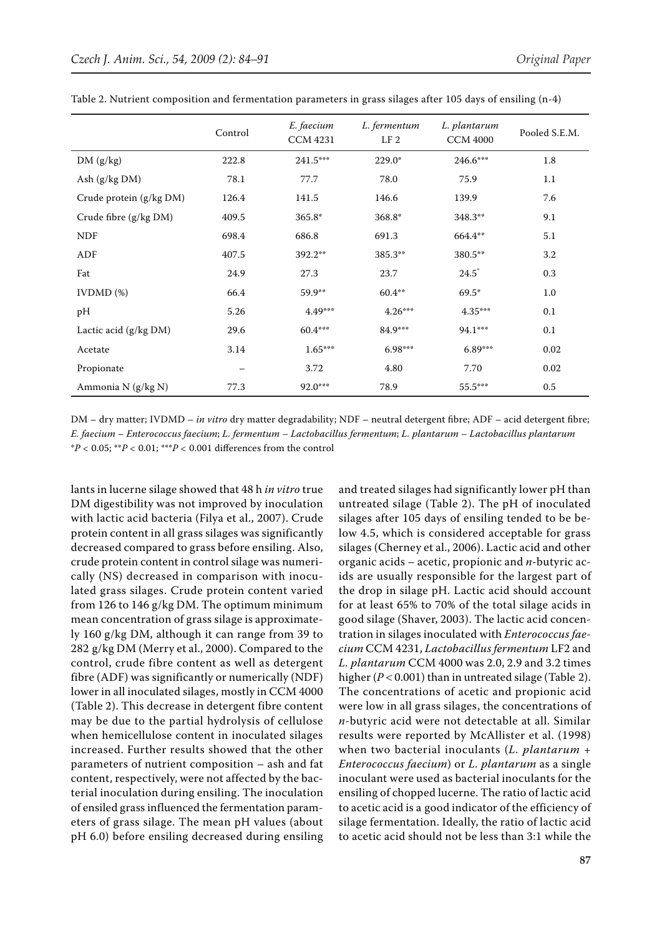|                         | Control                  | E. faecium<br><b>CCM 4231</b> | L. fermentum<br>L. plantarum<br>LF <sub>2</sub><br><b>CCM 4000</b> |           | Pooled S.E.M. |  |
|-------------------------|--------------------------|-------------------------------|--------------------------------------------------------------------|-----------|---------------|--|
| DM(g/kg)                | 222.8                    | 241.5***                      | $229.0*$                                                           | 246.6***  | 1.8           |  |
| Ash $(g/kg DM)$         | 78.1                     | 77.7                          | 78.0                                                               | 75.9      | 1.1           |  |
| Crude protein (g/kg DM) | 126.4                    | 141.5                         | 146.6                                                              | 139.9     | 7.6           |  |
| Crude fibre (g/kg DM)   | 409.5                    | 365.8*                        | 368.8*                                                             | 348.3**   | 9.1           |  |
| <b>NDF</b>              | 698.4                    | 686.8                         | 691.3                                                              | 664.4**   | 5.1           |  |
| ADF                     | 407.5                    | 392.2**                       | 385.3**                                                            | 380.5**   | 3.2           |  |
| Fat                     | 24.9                     | 27.3                          | 23.7                                                               | $24.5^*$  | 0.3           |  |
| $IVDMD$ $%$             | 66.4                     | 59.9**                        | $60.4***$                                                          | $69.5*$   | 1.0           |  |
| pH                      | 5.26                     | 4.49***                       | $4.26***$                                                          | $4.35***$ | 0.1           |  |
| Lactic acid (g/kg DM)   | 29.6                     | 60.4***                       | 84.9***                                                            | 94.1***   | 0.1           |  |
| Acetate                 | 3.14                     | $1.65***$                     | $6.98***$                                                          | $6.89***$ | 0.02          |  |
| Propionate              | $\overline{\phantom{m}}$ | 3.72                          | 4.80                                                               | 7.70      | 0.02          |  |
| Ammonia N (g/kg N)      | 77.3                     | $92.0***$                     | 78.9                                                               | 55.5***   | $0.5\,$       |  |

Table 2. Nutrient composition and fermentation parameters in grass silages after 105 days of ensiling (n-4)

DM – dry matter; IVDMD – *in vitro* dry matter degradability; NDF – neutral detergent fibre; ADF – acid detergent fibre; *E. faecium – Enterococcus faecium*; *L. fermentum – Lactobacillus fermentum*; *L. plantarum – Lactobacillus plantarum* \**P <* 0.05; \*\**P <* 0.01; \*\*\**P <* 0.001 differences from the control

lants in lucerne silage showed that 48 h *in vitro* true DM digestibility was not improved by inoculation with lactic acid bacteria (Filya et al., 2007). Crude protein content in all grass silages was significantly decreased compared to grass before ensiling. Also, crude protein content in control silage was numerically (NS) decreased in comparison with inoculated grass silages. Crude protein content varied from 126 to 146 g/kg DM. The optimum minimum mean concentration of grass silage is approximately 160 g/kg DM, although it can range from 39 to 282 g/kg DM (Merry et al., 2000). Compared to the control, crude fibre content as well as detergent fibre (ADF) was significantly or numerically (NDF) lower in all inoculated silages, mostly in CCM 4000 (Table 2). This decrease in detergent fibre content may be due to the partial hydrolysis of cellulose when hemicellulose content in inoculated silages increased. Further results showed that the other parameters of nutrient composition – ash and fat content, respectively, were not affected by the bacterial inoculation during ensiling. The inoculation of ensiled grass influenced the fermentation parameters of grass silage. The mean pH values (about pH 6.0) before ensiling decreased during ensiling

and treated silages had significantly lower pH than untreated silage (Table 2). The pH of inoculated silages after 105 days of ensiling tended to be below 4.5, which is considered acceptable for grass silages (Cherney et al., 2006). Lactic acid and other organic acids – acetic, propionic and *n-*butyric acids are usually responsible for the largest part of the drop in silage pH. Lactic acid should account for at least 65% to 70% of the total silage acids in good silage (Shaver, 2003). The lactic acid concentration in silages inoculated with *Enterococcus faecium* CCM 4231, *Lactobacillus fermentum* LF2 and *L. plantarum* CCM 4000 was 2.0, 2.9 and 3.2 times higher (*P* < 0.001) than in untreated silage (Table 2). The concentrations of acetic and propionic acid were low in all grass silages, the concentrations of *n-*butyric acid were not detectable at all. Similar results were reported by McAllister et al. (1998) when two bacterial inoculants (*L. plantarum* + *Enterococcus faecium*) or *L. plantarum* as a single inoculant were used as bacterial inoculants for the ensiling of chopped lucerne. The ratio of lactic acid to acetic acid is a good indicator of the efficiency of silage fermentation. Ideally, the ratio of lactic acid to acetic acid should not be less than 3:1 while the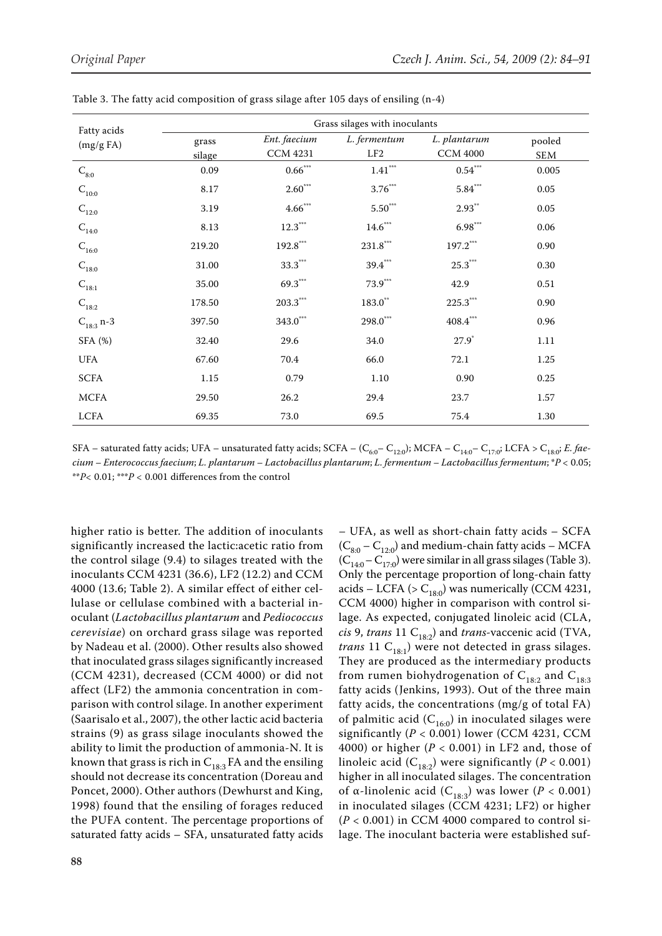| Fatty acids               | Grass silages with inoculants |                       |                        |                        |          |  |  |  |
|---------------------------|-------------------------------|-----------------------|------------------------|------------------------|----------|--|--|--|
| (mg/gFA)                  | grass                         | Ent. faecium          | L. fermentum           | L. plantarum           | pooled   |  |  |  |
|                           | silage                        | <b>CCM 4231</b>       | LF <sub>2</sub>        | <b>CCM 4000</b>        | SEM      |  |  |  |
| $\mathrm{C}_{\text{8:0}}$ | 0.09                          | $0.66^{***}$          | $1.41^{\ast\ast\ast}$  | $0.54***$              | 0.005    |  |  |  |
| $\mathcal{C}_{10:0}$      | 8.17                          | $2.60***$             | $3.76^{\ast\ast\ast}$  | $5.84***$              | $0.05\,$ |  |  |  |
| $C_{12:0}$                | 3.19                          | $4.66***$             | $5.50^{\ast\ast\ast}$  | $2.93^{**}$            | $0.05\,$ |  |  |  |
| $C_{14:0}$                | 8.13                          | $12.3***$             | $14.6***$              | $6.98***$              | 0.06     |  |  |  |
| $C_{16:0}$                | 219.20                        | $192.8^\circ$         | $231.8$ ***            | $197.2^\ast$           | 0.90     |  |  |  |
| $\mathcal{C}_{18:0}$      | 31.00                         | $33.3***$             | $39.4***$              | $25.3***$              | 0.30     |  |  |  |
| $C_{18:1}$                | 35.00                         | $69.3***$             | $73.9***$              | 42.9                   | 0.51     |  |  |  |
| $\mathcal{C}_{18:2}$      | 178.50                        | $203.3^\ast{}^\ast{}$ | $183.0\sp{\circ}$      | $225.3***$             | 0.90     |  |  |  |
| $C_{18:3}$ n-3            | 397.50                        | $343.0^\circ$         | $298.0^{\ast\ast\ast}$ | $408.4^{\ast\ast\ast}$ | 0.96     |  |  |  |
| SFA (%)                   | 32.40                         | 29.6                  | 34.0                   | $27.9^{\circ}$         | 1.11     |  |  |  |
| UFA                       | 67.60                         | 70.4                  | 66.0                   | 72.1                   | 1.25     |  |  |  |
| <b>SCFA</b>               | 1.15                          | 0.79                  | 1.10                   | 0.90                   | 0.25     |  |  |  |
| <b>MCFA</b>               | 29.50                         | 26.2                  | 29.4                   | 23.7                   | 1.57     |  |  |  |
| <b>LCFA</b>               | 69.35                         | 73.0                  | 69.5                   | 75.4                   | 1.30     |  |  |  |

Table 3. The fatty acid composition of grass silage after 105 days of ensiling (n-4)

SFA – saturated fatty acids; UFA – unsaturated fatty acids; SCFA –  $(C_{6:0} - C_{12:0})$ ; MCFA –  $C_{14:0} - C_{17:0}$ ; LCFA >  $C_{18:0}$ ; *E. faecium – Enterococcus faecium*; *L. plantarum – Lactobacillus plantarum*; *L. fermentum – Lactobacillus fermentum*; \**P <* 0.05; \*\**P<* 0.01; \*\*\**P <* 0.001 differences from the control

higher ratio is better. The addition of inoculants significantly increased the lactic:acetic ratio from the control silage (9.4) to silages treated with the inoculants CCM 4231 (36.6), LF2 (12.2) and CCM 4000 (13.6; Table 2). A similar effect of either cellulase or cellulase combined with a bacterial inoculant (*Lactobacillus plantarum* and *Pediococcus cerevisiae*) on orchard grass silage was reported by Nadeau et al. (2000). Other results also showed that inoculated grass silages significantly increased (CCM 4231), decreased (CCM 4000) or did not affect (LF2) the ammonia concentration in comparison with control silage. In another experiment (Saarisalo et al., 2007), the other lactic acid bacteria strains (9) as grass silage inoculants showed the ability to limit the production of ammonia-N. It is known that grass is rich in  $C_{18:3}$  FA and the ensiling should not decrease its concentration (Doreau and Poncet, 2000). Other authors (Dewhurst and King, 1998) found that the ensiling of forages reduced the PUFA content. The percentage proportions of saturated fatty acids – SFA, unsaturated fatty acids

– UFA, as well as short-chain fatty acids – SCFA  $(C_{8:0} - C_{12:0})$  and medium-chain fatty acids – MCFA  $(C_{14:0} - C_{17:0}^{\cdots})$  were similar in all grass silages (Table 3). Only the percentage proportion of long-chain fatty acids – LCFA ( $> C_{180}$ ) was numerically (CCM 4231, CCM 4000) higher in comparison with control silage. As expected, conjugated linoleic acid (CLA, *cis* 9, *trans* 11  $C_{18:2}$ ) and *trans*-vaccenic acid (TVA, *trans* 11  $C_{18:1}$ ) were not detected in grass silages. They are produced as the intermediary products from rumen biohydrogenation of  $C_{18:2}$  and  $C_{18:3}$ fatty acids (Jenkins, 1993). Out of the three main fatty acids, the concentrations (mg/g of total FA) of palmitic acid  $(C_{16:0})$  in inoculated silages were significantly (*P* < 0.001) lower (CCM 4231, CCM 4000) or higher (*P* < 0.001) in LF2 and, those of linoleic acid  $(C_{18:2})$  were significantly ( $P < 0.001$ ) higher in all inoculated silages. The concentration of α-linolenic acid ( $C_{18:3}$ ) was lower (*P* < 0.001) in inoculated silages (CCM 4231; LF2) or higher  $(P < 0.001)$  in CCM 4000 compared to control silage. The inoculant bacteria were established suf-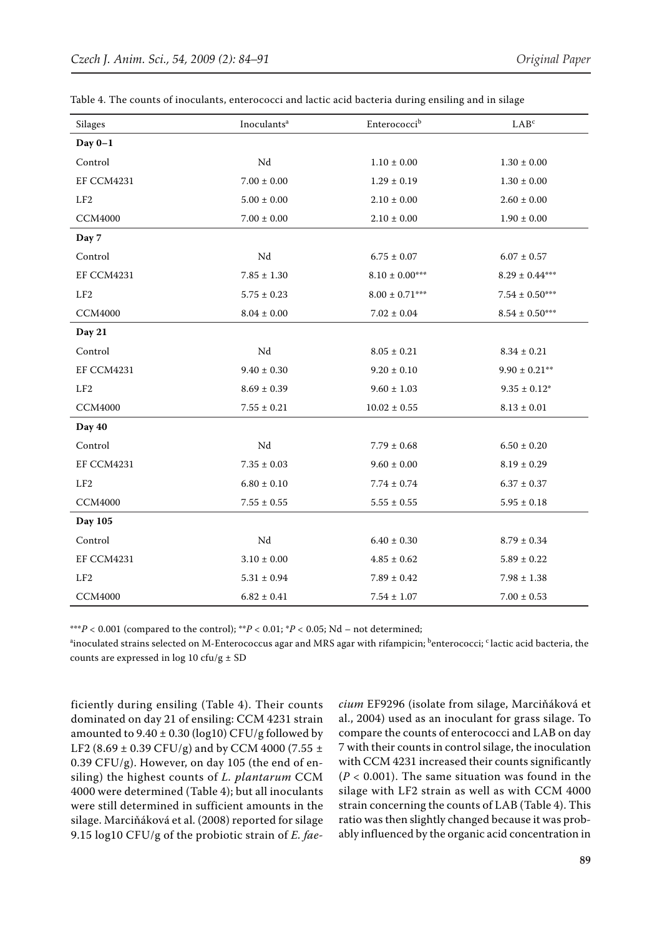| <b>Silages</b>    | Enterococcib<br>Inoculants <sup>a</sup> |                    | LAB <sup>c</sup>      |  |  |
|-------------------|-----------------------------------------|--------------------|-----------------------|--|--|
| Day $0-1$         |                                         |                    |                       |  |  |
| Control           | $\rm Nd$                                | $1.10\pm0.00$      | $1.30 \pm 0.00$       |  |  |
| <b>EF CCM4231</b> | $7.00 \pm 0.00$                         | $1.29\pm0.19$      | $1.30\pm0.00$         |  |  |
| LF2               | $5.00 \pm 0.00$                         | $2.10 \pm 0.00$    | $2.60 \pm 0.00$       |  |  |
| <b>CCM4000</b>    | $7.00\pm0.00$                           | $2.10 \pm 0.00$    | $1.90 \pm 0.00$       |  |  |
| Day 7             |                                         |                    |                       |  |  |
| Control           | Nd                                      | $6.75 \pm 0.07$    | $6.07 \pm 0.57$       |  |  |
| EF CCM4231        | $7.85\pm1.30$                           | $8.10 \pm 0.00***$ | $8.29 \pm 0.44***$    |  |  |
| LF2               | $5.75 \pm 0.23$                         | $8.00 \pm 0.71***$ | $7.54 \pm 0.50^{***}$ |  |  |
| <b>CCM4000</b>    | $8.04 \pm 0.00$                         | $7.02 \pm 0.04$    | $8.54 \pm 0.50***$    |  |  |
| Day 21            |                                         |                    |                       |  |  |
| Control           | $\rm Nd$                                | $8.05 \pm 0.21$    | $8.34 \pm 0.21$       |  |  |
| EF CCM4231        | $9.40 \pm 0.30$                         | $9.20 \pm 0.10$    | $9.90 \pm 0.21$ **    |  |  |
| LF2               | $8.69 \pm 0.39$                         | $9.60 \pm 1.03$    | $9.35\pm0.12^*$       |  |  |
| <b>CCM4000</b>    | $7.55 \pm 0.21$                         | $10.02 \pm 0.55$   | $8.13\pm0.01$         |  |  |
| Day 40            |                                         |                    |                       |  |  |
| Control           | $\rm Nd$                                | $7.79 \pm 0.68$    | $6.50 \pm 0.20$       |  |  |
| <b>EF CCM4231</b> | $7.35 \pm 0.03$                         | $9.60 \pm 0.00$    | $8.19 \pm 0.29$       |  |  |
| LF2               | $6.80\pm0.10$                           | $7.74 \pm 0.74$    | $6.37\pm0.37$         |  |  |
| <b>CCM4000</b>    | $7.55\pm0.55$                           | $5.55 \pm 0.55$    | $5.95\pm0.18$         |  |  |
| Day 105           |                                         |                    |                       |  |  |
| Control           | $\rm Nd$                                | $6.40 \pm 0.30$    | $8.79 \pm 0.34$       |  |  |
| <b>EF CCM4231</b> | $3.10\pm0.00$                           | $4.85 \pm 0.62$    | $5.89 \pm 0.22$       |  |  |
| LF2               | $5.31 \pm 0.94$                         | $7.89 \pm 0.42$    | $7.98 \pm 1.38$       |  |  |
| <b>CCM4000</b>    | $6.82 \pm 0.41$                         | $7.54 \pm 1.07$    | $7.00 \pm 0.53$       |  |  |

| Table 4. The counts of inoculants, enterococci and lactic acid bacteria during ensiling and in silage |  |  |  |  |  |  |
|-------------------------------------------------------------------------------------------------------|--|--|--|--|--|--|
|-------------------------------------------------------------------------------------------------------|--|--|--|--|--|--|

\*\*\**P* < 0.001 (compared to the control); \*\**P* < 0.01; \**P* < 0.05; Nd – not determined;

<sup>a</sup>inoculated strains selected on M-Enterococcus agar and MRS agar with rifampicin; <sup>b</sup>enterococci; <sup>c</sup> lactic acid bacteria, the counts are expressed in  $log 10$  cfu/g  $\pm$  SD

ficiently during ensiling (Table 4). Their counts dominated on day 21 of ensiling: CCM 4231 strain amounted to  $9.40 \pm 0.30$  (log10) CFU/g followed by LF2 (8.69  $\pm$  0.39 CFU/g) and by CCM 4000 (7.55  $\pm$  $0.39$  CFU/g). However, on day 105 (the end of ensiling) the highest counts of *L. plantarum* CCM 4000 were determined (Table 4); but all inoculants were still determined in sufficient amounts in the silage. Marciňáková et al. (2008) reported for silage 9.15 log10 CFU/g of the probiotic strain of *E. fae-* *cium* EF9296 (isolate from silage, Marciňáková et al., 2004) used as an inoculant for grass silage. To compare the counts of enterococci and LAB on day 7 with their counts in control silage, the inoculation with CCM 4231 increased their counts significantly  $(P < 0.001)$ . The same situation was found in the silage with LF2 strain as well as with CCM 4000 strain concerning the counts of LAB (Table 4). This ratio was then slightly changed because it was probably influenced by the organic acid concentration in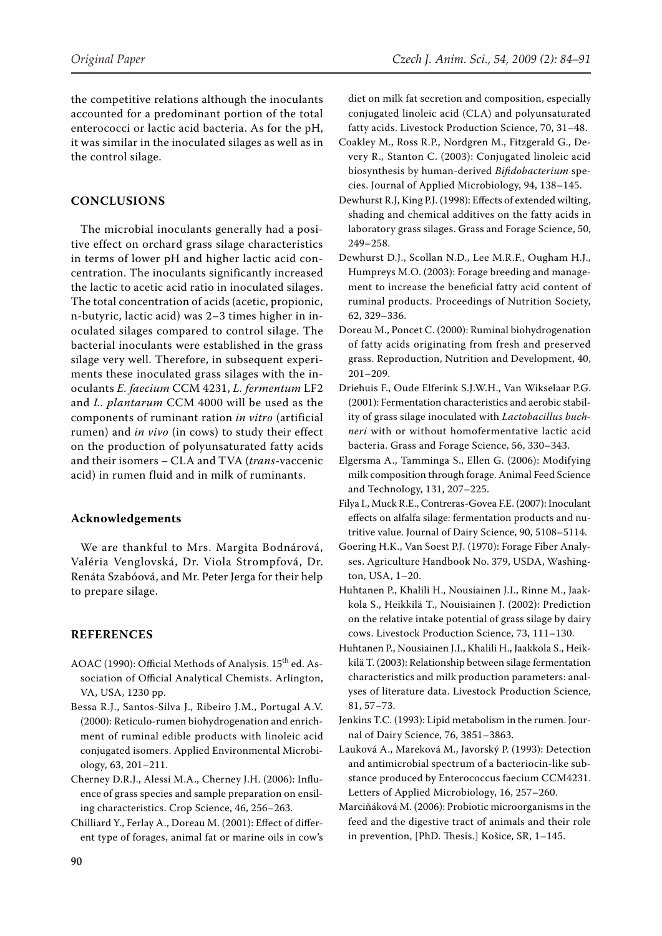the competitive relations although the inoculants accounted for a predominant portion of the total enterococci or lactic acid bacteria. As for the pH, it was similar in the inoculated silages as well as in the control silage.

# **CONCLUSIONS**

The microbial inoculants generally had a positive effect on orchard grass silage characteristics in terms of lower pH and higher lactic acid concentration. The inoculants significantly increased the lactic to acetic acid ratio in inoculated silages. The total concentration of acids (acetic, propionic, n-butyric, lactic acid) was 2–3 times higher in inoculated silages compared to control silage. The bacterial inoculants were established in the grass silage very well. Therefore, in subsequent experiments these inoculated grass silages with the inoculants *E. faecium* CCM 4231, *L. fermentum* LF2 and *L. plantarum* CCM 4000 will be used as the components of ruminant ration *in vitro* (artificial rumen) and *in vivo* (in cows) to study their effect on the production of polyunsaturated fatty acids and their isomers – CLA and TVA (*trans-*vaccenic acid) in rumen fluid and in milk of ruminants.

#### **Acknowledgements**

We are thankful to Mrs. Margita Bodnárová, Valéria Venglovská, Dr. Viola Strompfová, Dr. Renáta Szabóová, and Mr. Peter Jerga for their help to prepare silage.

## **References**

- AOAC (1990): Official Methods of Analysis. 15<sup>th</sup> ed. Association of Official Analytical Chemists. Arlington, VA, USA, 1230 pp.
- Bessa R.J., Santos-Silva J., Ribeiro J.M., Portugal A.V. (2000): Reticulo-rumen biohydrogenation and enrichment of ruminal edible products with linoleic acid conjugated isomers. Applied Environmental Microbiology, 63, 201–211.
- Cherney D.R.J., Alessi M.A., Cherney J.H. (2006): Influence of grass species and sample preparation on ensiling characteristics. Crop Science, 46, 256–263.
- Chilliard Y., Ferlay A., Doreau M. (2001): Effect of different type of forages, animal fat or marine oils in cow's

diet on milk fat secretion and composition, especially conjugated linoleic acid (CLA) and polyunsaturated fatty acids. Livestock Production Science, 70, 31–48.

- Coakley M., Ross R.P., Nordgren M., Fitzgerald G., Devery R., Stanton C. (2003): Conjugated linoleic acid biosynthesis by human-derived *Bifidobacterium* species. Journal of Applied Microbiology, 94, 138–145.
- Dewhurst R.J, King P.J. (1998): Effects of extended wilting, shading and chemical additives on the fatty acids in laboratory grass silages. Grass and Forage Science, 50, 249–258.
- Dewhurst D.J., Scollan N.D., Lee M.R.F., Ougham H.J., Humpreys M.O. (2003): Forage breeding and management to increase the beneficial fatty acid content of ruminal products. Proceedings of Nutrition Society, 62, 329–336.
- Doreau M., Poncet C. (2000): Ruminal biohydrogenation of fatty acids originating from fresh and preserved grass. Reproduction, Nutrition and Development, 40, 201–209.
- Driehuis F., Oude Elferink S.J.W.H., Van Wikselaar P.G. (2001): Fermentation characteristics and aerobic stability of grass silage inoculated with *Lactobacillus buchneri* with or without homofermentative lactic acid bacteria. Grass and Forage Science, 56, 330–343.
- Elgersma A., Tamminga S., Ellen G. (2006): Modifying milk composition through forage. Animal Feed Science and Technology, 131, 207–225.
- Filya I., Muck R.E., Contreras-Govea F.E. (2007): Inoculant effects on alfalfa silage: fermentation products and nutritive value. Journal of Dairy Science, 90, 5108–5114.
- Goering H.K., Van Soest P.J. (1970): Forage Fiber Analyses. Agriculture Handbook No. 379, USDA, Washington, USA, 1–20.
- Huhtanen P., Khalili H., Nousiainen J.I., Rinne M., Jaakkola S., Heikkilä T., Nouisiainen J. (2002): Prediction on the relative intake potential of grass silage by dairy cows. Livestock Production Science, 73, 111–130.
- Huhtanen P., Nousiainen J.I., Khalili H., Jaakkola S., Heikkilä T. (2003): Relationship between silage fermentation characteristics and milk production parameters: analyses of literature data. Livestock Production Science, 81, 57–73.
- Jenkins T.C. (1993): Lipid metabolism in the rumen. Journal of Dairy Science, 76, 3851–3863.
- Lauková A., Mareková M., Javorský P. (1993): Detection and antimicrobial spectrum of a bacteriocin-like substance produced by Enterococcus faecium CCM4231. Letters of Applied Microbiology, 16, 257–260.
- Marciňáková M. (2006): Probiotic microorganisms in the feed and the digestive tract of animals and their role in prevention, [PhD. Thesis.] Košice, SR, 1–145.